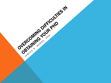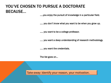# YOU'VE CHOSEN TO PURSUE A DOCTORATE **BECAUSE...**

.....you enjoy the pursuit of knowledge in a particular field.

..... you don't know what you want to be when you grow up.

..... you want to be a college professor.

..... you want a deep understanding of research methodology.

..... you want the credentials.

The list goes on...

Take-away: Identify your reason, your motivation.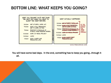### BOTTOM LINE: WHAT KEEPS YOU GOING?

| WHAT YOU THOUGHT YOU'D GET DONE<br>THE NEXT DAY WHEN YOU WENT TO<br>SLEEP THE NIGHT BEFORE: |                                                                                                                                                                                                                        |  | WHAT ACTUALLY HAPPENED:                                                                                                                                                                                                                                                                                                 |
|---------------------------------------------------------------------------------------------|------------------------------------------------------------------------------------------------------------------------------------------------------------------------------------------------------------------------|--|-------------------------------------------------------------------------------------------------------------------------------------------------------------------------------------------------------------------------------------------------------------------------------------------------------------------------|
| 8:00am<br>9:00am<br>9:3Oam<br>$10:00$ am<br>12:00pm<br>1:00pm                               | GET UP EARLY, WORK OUT.<br>HAVE A FULL BREAKFAST,<br>GET TO WORK ON TIME.<br>RESPOND TO BACKLOG OF<br>E-MAILS. FINISH READING PAPERS<br>WORK ON THESIS PROJECT<br><b>LUNCH</b><br>HAVE A HAPPY AND<br>PRODUCTIVE LIFE. |  | 8:00am GET OF EARLY, WORK OUT<br><b>HIT THE</b><br>9:00am total A PULL DKEAKPAST,<br>SNOOZE<br>GET TO WORK ON TIME<br><b>BUTTON</b><br>FOR<br>COALD TO RACH OG OF<br>9:30am RESPON<br>THREE<br>HOURS<br>STRAIGHT<br>10:00am WORK ON THESIS PROJECT<br>12:00pm LUNCH<br>$1:00$ pm<br><b>COMMANDER</b><br>PRODUCTIVE LIFE |
| WWW.PHDCOMICS.COM                                                                           |                                                                                                                                                                                                                        |  |                                                                                                                                                                                                                                                                                                                         |

You will have some bad days. In the end, *something* has to keep you going…through it all.

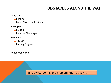# OBSTACLES ALONG THE WAY

#### Tangible

**O**Funding

■Lack of Mentorship, Support

### Intangible

**OF**atigue

**O** Personal Challenges

#### Academic

**DAdvisor** 

**■Making Progress** 

Other challenges ?

Take-away: Identify the problem, then attack it!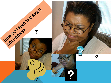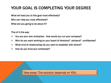# YOUR GOAL IS COMPLETING YOUR DEGREE

What will lead you to this goal most effectively? Who can help you most effectively? What are you going to do about it?

This of it this way:

- $\triangleright$  You are your own enterprise. How would you run your company?
- $\triangleright$  Who do you want working on your board of directors? advisors? confidantes?
- $\triangleright$  What kind of relationships do you want to establish with others?
- $\triangleright$  How do you fund your enterprise?

Take-away: The solution depends on YOU.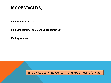MY OBSTACLE(S)

Finding a new advisor

Finding funding: for summer and academic year

Finding a career

Take-away: Use what you learn, and keep moving forward.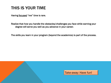## THIS IS YOUR TIME

Having focused "me" time is rare.

Realize that *how* you handle the obstacles/challenges you face while earning your degree will serve you well as you advance in your career.

The skills you learn in your program (beyond the academics) is part of the process.